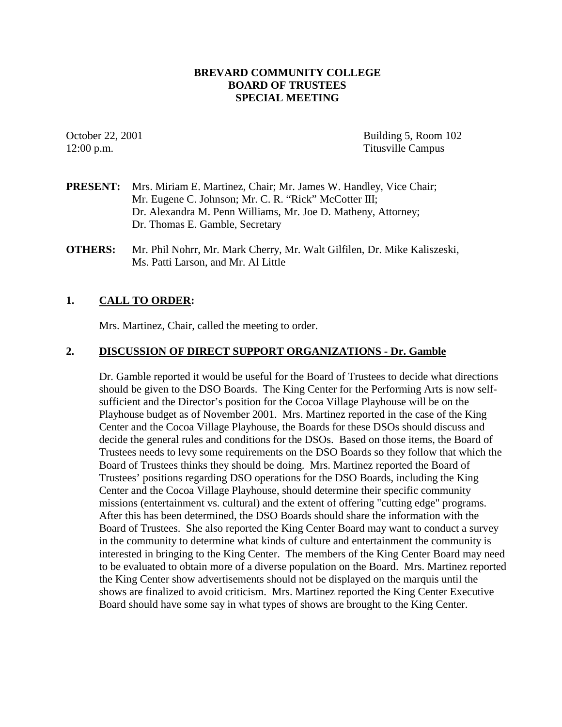## **BREVARD COMMUNITY COLLEGE BOARD OF TRUSTEES SPECIAL MEETING**

October 22, 2001 Building 5, Room 102 12:00 p.m. Titusville Campus

- **PRESENT:** Mrs. Miriam E. Martinez, Chair; Mr. James W. Handley, Vice Chair; Mr. Eugene C. Johnson; Mr. C. R. "Rick" McCotter III; Dr. Alexandra M. Penn Williams, Mr. Joe D. Matheny, Attorney; Dr. Thomas E. Gamble, Secretary
- **OTHERS:** Mr. Phil Nohrr, Mr. Mark Cherry, Mr. Walt Gilfilen, Dr. Mike Kaliszeski, Ms. Patti Larson, and Mr. Al Little

## **1. CALL TO ORDER:**

Mrs. Martinez, Chair, called the meeting to order.

## **2. DISCUSSION OF DIRECT SUPPORT ORGANIZATIONS - Dr. Gamble**

Dr. Gamble reported it would be useful for the Board of Trustees to decide what directions should be given to the DSO Boards. The King Center for the Performing Arts is now selfsufficient and the Director's position for the Cocoa Village Playhouse will be on the Playhouse budget as of November 2001. Mrs. Martinez reported in the case of the King Center and the Cocoa Village Playhouse, the Boards for these DSOs should discuss and decide the general rules and conditions for the DSOs. Based on those items, the Board of Trustees needs to levy some requirements on the DSO Boards so they follow that which the Board of Trustees thinks they should be doing. Mrs. Martinez reported the Board of Trustees' positions regarding DSO operations for the DSO Boards, including the King Center and the Cocoa Village Playhouse, should determine their specific community missions (entertainment vs. cultural) and the extent of offering "cutting edge" programs. After this has been determined, the DSO Boards should share the information with the Board of Trustees. She also reported the King Center Board may want to conduct a survey in the community to determine what kinds of culture and entertainment the community is interested in bringing to the King Center. The members of the King Center Board may need to be evaluated to obtain more of a diverse population on the Board. Mrs. Martinez reported the King Center show advertisements should not be displayed on the marquis until the shows are finalized to avoid criticism. Mrs. Martinez reported the King Center Executive Board should have some say in what types of shows are brought to the King Center.